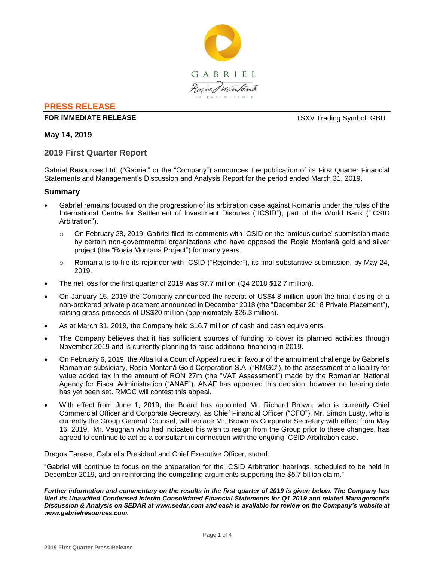

# **PRESS RELEASE**

# **FOR IMMEDIATE RELEASE TEXV Trading Symbol: GBU**

**May 14, 2019**

# **2019 First Quarter Report**

Gabriel Resources Ltd. ("Gabriel" or the "Company") announces the publication of its First Quarter Financial Statements and Management's Discussion and Analysis Report for the period ended March 31, 2019.

# **Summary**

- Gabriel remains focused on the progression of its arbitration case against Romania under the rules of the International Centre for Settlement of Investment Disputes ("ICSID"), part of the World Bank ("ICSID Arbitration").
	- o On February 28, 2019, Gabriel filed its comments with ICSID on the 'amicus curiae' submission made by certain non-governmental organizations who have opposed the Roșia Montană gold and silver project (the "Roșia Montană Project") for many years.
	- $\circ$  Romania is to file its rejoinder with ICSID ("Rejoinder"), its final substantive submission, by May 24, 2019.
- The net loss for the first quarter of 2019 was \$7.7 million (Q4 2018 \$12.7 million).
- On January 15, 2019 the Company announced the receipt of US\$4.8 million upon the final closing of a non-brokered private placement announced in December 2018 (the "December 2018 Private Placement"), raising gross proceeds of US\$20 million (approximately \$26.3 million).
- As at March 31, 2019, the Company held \$16.7 million of cash and cash equivalents.
- The Company believes that it has sufficient sources of funding to cover its planned activities through November 2019 and is currently planning to raise additional financing in 2019.
- On February 6, 2019, the Alba Iulia Court of Appeal ruled in favour of the annulment challenge by Gabriel's Romanian subsidiary, Roșia Montană Gold Corporation S.A. ("RMGC"), to the assessment of a liability for value added tax in the amount of RON 27m (the "VAT Assessment") made by the Romanian National Agency for Fiscal Administration ("ANAF"). ANAF has appealed this decision, however no hearing date has yet been set. RMGC will contest this appeal.
- With effect from June 1, 2019, the Board has appointed Mr. Richard Brown, who is currently Chief Commercial Officer and Corporate Secretary, as Chief Financial Officer ("CFO"). Mr. Simon Lusty, who is currently the Group General Counsel, will replace Mr. Brown as Corporate Secretary with effect from May 16, 2019. Mr. Vaughan who had indicated his wish to resign from the Group prior to these changes, has agreed to continue to act as a consultant in connection with the ongoing ICSID Arbitration case.

Dragos Tanase, Gabriel's President and Chief Executive Officer, stated:

"Gabriel will continue to focus on the preparation for the ICSID Arbitration hearings, scheduled to be held in December 2019, and on reinforcing the compelling arguments supporting the \$5.7 billion claim."

*Further information and commentary on the results in the first quarter of 2019 is given below. The Company has filed its Unaudited Condensed Interim Consolidated Financial Statements for Q1 2019 and related Management's Discussion & Analysis on SEDAR at www.sedar.com and each is available for review on the Company's website at www.gabrielresources.com.*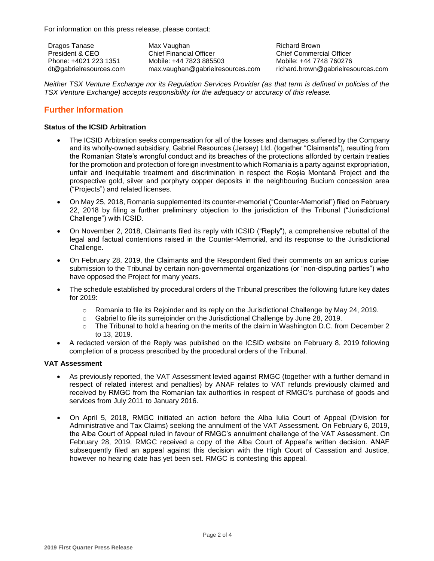For information on this press release, please contact:

Dragos Tanase President & CEO Phone: +4021 223 1351 dt@gabrielresources.com Max Vaughan Chief Financial Officer Mobile: +44 7823 885503 max.vaughan@gabrielresources.com Richard Brown Chief Commercial Officer Mobile: +44 7748 760276 richard.brown@gabrielresources.com

*Neither TSX Venture Exchange nor its Regulation Services Provider (as that term is defined in policies of the TSX Venture Exchange) accepts responsibility for the adequacy or accuracy of this release.*

# **Further Information**

# **Status of the ICSID Arbitration**

- The ICSID Arbitration seeks compensation for all of the losses and damages suffered by the Company and its wholly-owned subsidiary, Gabriel Resources (Jersey) Ltd. (together "Claimants"), resulting from the Romanian State's wrongful conduct and its breaches of the protections afforded by certain treaties for the promotion and protection of foreign investment to which Romania is a party against expropriation, unfair and inequitable treatment and discrimination in respect the Roșia Montană Project and the prospective gold, silver and porphyry copper deposits in the neighbouring Bucium concession area ("Projects") and related licenses.
- On May 25, 2018, Romania supplemented its counter-memorial ("Counter-Memorial") filed on February 22, 2018 by filing a further preliminary objection to the jurisdiction of the Tribunal ("Jurisdictional Challenge") with ICSID.
- On November 2, 2018, Claimants filed its reply with ICSID ("Reply"), a comprehensive rebuttal of the legal and factual contentions raised in the Counter-Memorial, and its response to the Jurisdictional Challenge.
- On February 28, 2019, the Claimants and the Respondent filed their comments on an amicus curiae submission to the Tribunal by certain non-governmental organizations (or "non-disputing parties") who have opposed the Project for many years.
- The schedule established by procedural orders of the Tribunal prescribes the following future key dates for 2019:
	- $\circ$  Romania to file its Rejoinder and its reply on the Jurisdictional Challenge by May 24, 2019.
	- $\circ$  Gabriel to file its surrejoinder on the Jurisdictional Challenge by June 28, 2019.
	- $\circ$  The Tribunal to hold a hearing on the merits of the claim in Washington D.C. from December 2 to 13, 2019.
- A redacted version of the Reply was published on the ICSID website on February 8, 2019 following completion of a process prescribed by the procedural orders of the Tribunal.

# **VAT Assessment**

- As previously reported, the VAT Assessment levied against RMGC (together with a further demand in respect of related interest and penalties) by ANAF relates to VAT refunds previously claimed and received by RMGC from the Romanian tax authorities in respect of RMGC's purchase of goods and services from July 2011 to January 2016.
- On April 5, 2018, RMGC initiated an action before the Alba Iulia Court of Appeal (Division for Administrative and Tax Claims) seeking the annulment of the VAT Assessment. On February 6, 2019, the Alba Court of Appeal ruled in favour of RMGC's annulment challenge of the VAT Assessment. On February 28, 2019, RMGC received a copy of the Alba Court of Appeal's written decision. ANAF subsequently filed an appeal against this decision with the High Court of Cassation and Justice, however no hearing date has yet been set. RMGC is contesting this appeal.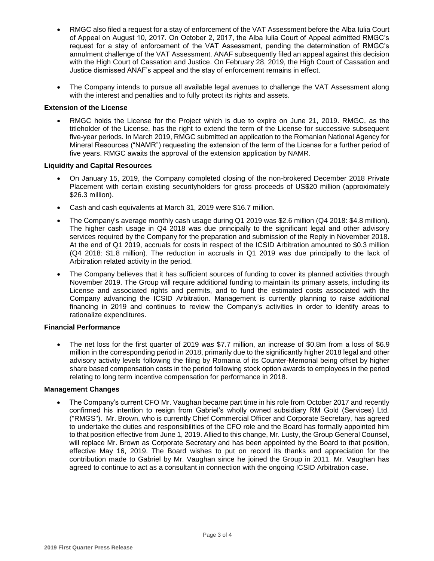- RMGC also filed a request for a stay of enforcement of the VAT Assessment before the Alba Iulia Court of Appeal on August 10, 2017. On October 2, 2017, the Alba Iulia Court of Appeal admitted RMGC's request for a stay of enforcement of the VAT Assessment, pending the determination of RMGC's annulment challenge of the VAT Assessment. ANAF subsequently filed an appeal against this decision with the High Court of Cassation and Justice. On February 28, 2019, the High Court of Cassation and Justice dismissed ANAF's appeal and the stay of enforcement remains in effect.
- The Company intends to pursue all available legal avenues to challenge the VAT Assessment along with the interest and penalties and to fully protect its rights and assets.

# **Extension of the License**

 RMGC holds the License for the Project which is due to expire on June 21, 2019. RMGC, as the titleholder of the License, has the right to extend the term of the License for successive subsequent five-year periods. In March 2019, RMGC submitted an application to the Romanian National Agency for Mineral Resources ("NAMR") requesting the extension of the term of the License for a further period of five years. RMGC awaits the approval of the extension application by NAMR.

# **Liquidity and Capital Resources**

- On January 15, 2019, the Company completed closing of the non-brokered December 2018 Private Placement with certain existing securityholders for gross proceeds of US\$20 million (approximately \$26.3 million).
- Cash and cash equivalents at March 31, 2019 were \$16.7 million.
- The Company's average monthly cash usage during Q1 2019 was \$2.6 million (Q4 2018: \$4.8 million). The higher cash usage in Q4 2018 was due principally to the significant legal and other advisory services required by the Company for the preparation and submission of the Reply in November 2018. At the end of Q1 2019, accruals for costs in respect of the ICSID Arbitration amounted to \$0.3 million (Q4 2018: \$1.8 million). The reduction in accruals in Q1 2019 was due principally to the lack of Arbitration related activity in the period.
- The Company believes that it has sufficient sources of funding to cover its planned activities through November 2019. The Group will require additional funding to maintain its primary assets, including its License and associated rights and permits, and to fund the estimated costs associated with the Company advancing the ICSID Arbitration. Management is currently planning to raise additional financing in 2019 and continues to review the Company's activities in order to identify areas to rationalize expenditures.

# **Financial Performance**

 The net loss for the first quarter of 2019 was \$7.7 million, an increase of \$0.8m from a loss of \$6.9 million in the corresponding period in 2018, primarily due to the significantly higher 2018 legal and other advisory activity levels following the filing by Romania of its Counter-Memorial being offset by higher share based compensation costs in the period following stock option awards to employees in the period relating to long term incentive compensation for performance in 2018.

# **Management Changes**

 The Company's current CFO Mr. Vaughan became part time in his role from October 2017 and recently confirmed his intention to resign from Gabriel's wholly owned subsidiary RM Gold (Services) Ltd. ("RMGS"). Mr. Brown, who is currently Chief Commercial Officer and Corporate Secretary, has agreed to undertake the duties and responsibilities of the CFO role and the Board has formally appointed him to that position effective from June 1, 2019. Allied to this change, Mr. Lusty, the Group General Counsel, will replace Mr. Brown as Corporate Secretary and has been appointed by the Board to that position, effective May 16, 2019. The Board wishes to put on record its thanks and appreciation for the contribution made to Gabriel by Mr. Vaughan since he joined the Group in 2011. Mr. Vaughan has agreed to continue to act as a consultant in connection with the ongoing ICSID Arbitration case.